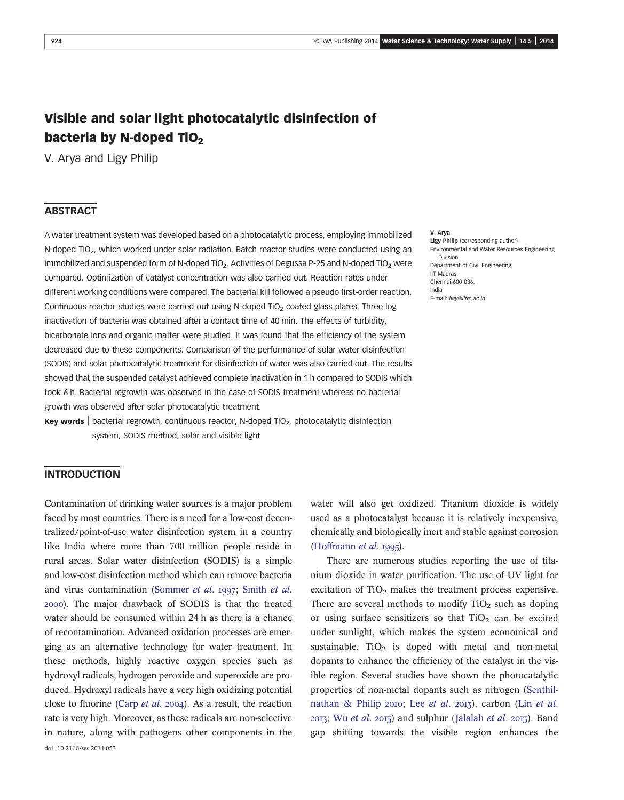# Visible and solar light photocatalytic disinfection of bacteria by N-doped TiO<sub>2</sub>

V. Arya and Ligy Philip

# **ABSTRACT**

A water treatment system was developed based on a photocatalytic process, employing immobilized N-doped TiO<sub>2</sub>, which worked under solar radiation. Batch reactor studies were conducted using an immobilized and suspended form of N-doped TiO<sub>2</sub>. Activities of Degussa P-25 and N-doped TiO<sub>2</sub> were compared. Optimization of catalyst concentration was also carried out. Reaction rates under different working conditions were compared. The bacterial kill followed a pseudo first-order reaction. Continuous reactor studies were carried out using N-doped TiO<sub>2</sub> coated glass plates. Three-log inactivation of bacteria was obtained after a contact time of 40 min. The effects of turbidity, bicarbonate ions and organic matter were studied. It was found that the efficiency of the system decreased due to these components. Comparison of the performance of solar water-disinfection (SODIS) and solar photocatalytic treatment for disinfection of water was also carried out. The results showed that the suspended catalyst achieved complete inactivation in 1 h compared to SODIS which took 6 h. Bacterial regrowth was observed in the case of SODIS treatment whereas no bacterial growth was observed after solar photocatalytic treatment.

**Key words** | bacterial regrowth, continuous reactor, N-doped  $TiO<sub>2</sub>$ , photocatalytic disinfection system, SODIS method, solar and visible light

#### V. Arya

Ligy Philip (corresponding author) Environmental and Water Resources Engineering Division, Department of Civil Engineering, IIT Madras, Chennai-600 036, India E-mail: ligy@iitm.ac.in

### INTRODUCTION

Contamination of drinking water sources is a major problem faced by most countries. There is a need for a low-cost decentralized/point-of-use water disinfection system in a country like India where more than 700 million people reside in rural areas. Solar water disinfection (SODIS) is a simple and low-cost disinfection method which can remove bacteria and virus contamination (Sommer et al. 1997; Smith et al. ). The major drawback of SODIS is that the treated water should be consumed within 24 h as there is a chance of recontamination. Advanced oxidation processes are emerging as an alternative technology for water treatment. In these methods, highly reactive oxygen species such as hydroxyl radicals, hydrogen peroxide and superoxide are produced. Hydroxyl radicals have a very high oxidizing potential close to fluorine (Carp et al. 2004). As a result, the reaction rate is very high. Moreover, as these radicals are non-selective in nature, along with pathogens other components in the doi: 10.2166/ws.2014.053

water will also get oxidized. Titanium dioxide is widely used as a photocatalyst because it is relatively inexpensive, chemically and biologically inert and stable against corrosion (Hoffmann  $et$   $al.$  1995).

There are numerous studies reporting the use of titanium dioxide in water purification. The use of UV light for excitation of  $TiO<sub>2</sub>$  makes the treatment process expensive. There are several methods to modify  $TiO<sub>2</sub>$  such as doping or using surface sensitizers so that  $TiO<sub>2</sub>$  can be excited under sunlight, which makes the system economical and sustainable. TiO<sub>2</sub> is doped with metal and non-metal dopants to enhance the efficiency of the catalyst in the visible region. Several studies have shown the photocatalytic properties of non-metal dopants such as nitrogen (Senthilnathan & Philip 2010; Lee et al. 2013), carbon (Lin et al. 2013; Wu et al. 2013) and sulphur (Jalalah et al. 2013). Band gap shifting towards the visible region enhances the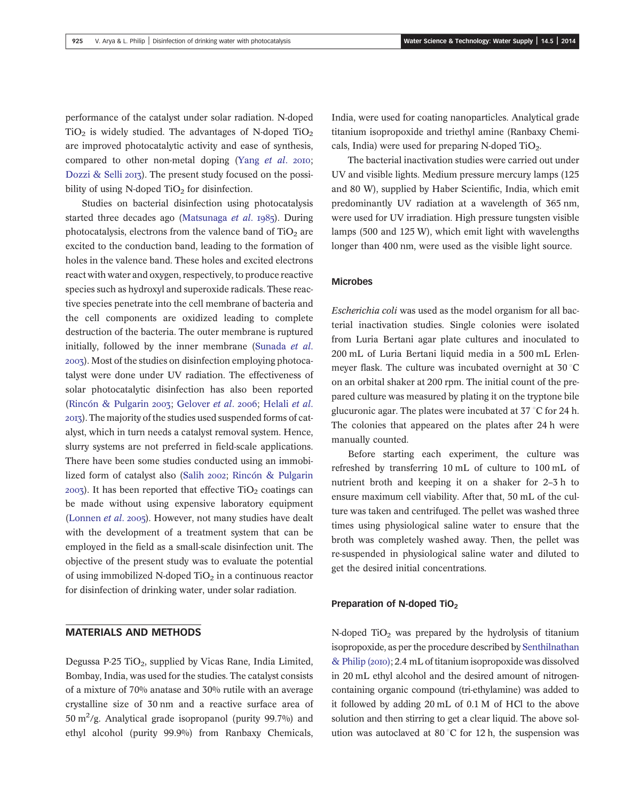performance of the catalyst under solar radiation. N-doped  $TiO<sub>2</sub>$  is widely studied. The advantages of N-doped  $TiO<sub>2</sub>$ are improved photocatalytic activity and ease of synthesis, compared to other non-metal doping (Yang  $et$   $al.$  2010; Dozzi & Selli 2013). The present study focused on the possibility of using N-doped  $TiO<sub>2</sub>$  for disinfection.

Studies on bacterial disinfection using photocatalysis started three decades ago (Matsunaga et al. 1985). During photocatalysis, electrons from the valence band of  $TiO<sub>2</sub>$  are excited to the conduction band, leading to the formation of holes in the valence band. These holes and excited electrons react with water and oxygen, respectively, to produce reactive species such as hydroxyl and superoxide radicals. These reactive species penetrate into the cell membrane of bacteria and the cell components are oxidized leading to complete destruction of the bacteria. The outer membrane is ruptured initially, followed by the inner membrane (Sunada et al. ). Most of the studies on disinfection employing photocatalyst were done under UV radiation. The effectiveness of solar photocatalytic disinfection has also been reported (Rincón & Pulgarin 2003; Gelover et al. 2006; Helali et al. ). The majority of the studies used suspended forms of catalyst, which in turn needs a catalyst removal system. Hence, slurry systems are not preferred in field-scale applications. There have been some studies conducted using an immobilized form of catalyst also (Salih 2002; Rincón & Pulgarin  $2003$ ). It has been reported that effective TiO<sub>2</sub> coatings can be made without using expensive laboratory equipment (Lonnen et al. 2005). However, not many studies have dealt with the development of a treatment system that can be employed in the field as a small-scale disinfection unit. The objective of the present study was to evaluate the potential of using immobilized N-doped  $TiO<sub>2</sub>$  in a continuous reactor for disinfection of drinking water, under solar radiation.

# MATERIALS AND METHODS

Degussa P-25 TiO<sub>2</sub>, supplied by Vicas Rane, India Limited, Bombay, India, was used for the studies. The catalyst consists of a mixture of 70% anatase and 30% rutile with an average crystalline size of 30 nm and a reactive surface area of 50 m<sup>2</sup>/g. Analytical grade isopropanol (purity 99.7%) and ethyl alcohol (purity 99.9%) from Ranbaxy Chemicals,

India, were used for coating nanoparticles. Analytical grade titanium isopropoxide and triethyl amine (Ranbaxy Chemicals, India) were used for preparing N-doped  $TiO<sub>2</sub>$ .

The bacterial inactivation studies were carried out under UV and visible lights. Medium pressure mercury lamps (125 and 80 W), supplied by Haber Scientific, India, which emit predominantly UV radiation at a wavelength of 365 nm, were used for UV irradiation. High pressure tungsten visible lamps (500 and 125 W), which emit light with wavelengths longer than 400 nm, were used as the visible light source.

# Microbes

Escherichia coli was used as the model organism for all bacterial inactivation studies. Single colonies were isolated from Luria Bertani agar plate cultures and inoculated to 200 mL of Luria Bertani liquid media in a 500 mL Erlenmeyer flask. The culture was incubated overnight at  $30^{\circ}$ C on an orbital shaker at 200 rpm. The initial count of the prepared culture was measured by plating it on the tryptone bile glucuronic agar. The plates were incubated at  $37^{\circ}$ C for 24 h. The colonies that appeared on the plates after 24 h were manually counted.

Before starting each experiment, the culture was refreshed by transferring 10 mL of culture to 100 mL of nutrient broth and keeping it on a shaker for 2–3 h to ensure maximum cell viability. After that, 50 mL of the culture was taken and centrifuged. The pellet was washed three times using physiological saline water to ensure that the broth was completely washed away. Then, the pellet was re-suspended in physiological saline water and diluted to get the desired initial concentrations.

### Preparation of N-doped TiO<sub>2</sub>

N-doped  $TiO<sub>2</sub>$  was prepared by the hydrolysis of titanium isopropoxide, as per the procedure described by Senthilnathan  $&$  Philip (2010); 2.4 mL of titanium isopropoxide was dissolved in 20 mL ethyl alcohol and the desired amount of nitrogencontaining organic compound (tri-ethylamine) was added to it followed by adding 20 mL of 0.1 M of HCl to the above solution and then stirring to get a clear liquid. The above solution was autoclaved at 80 $^{\circ}$ C for 12 h, the suspension was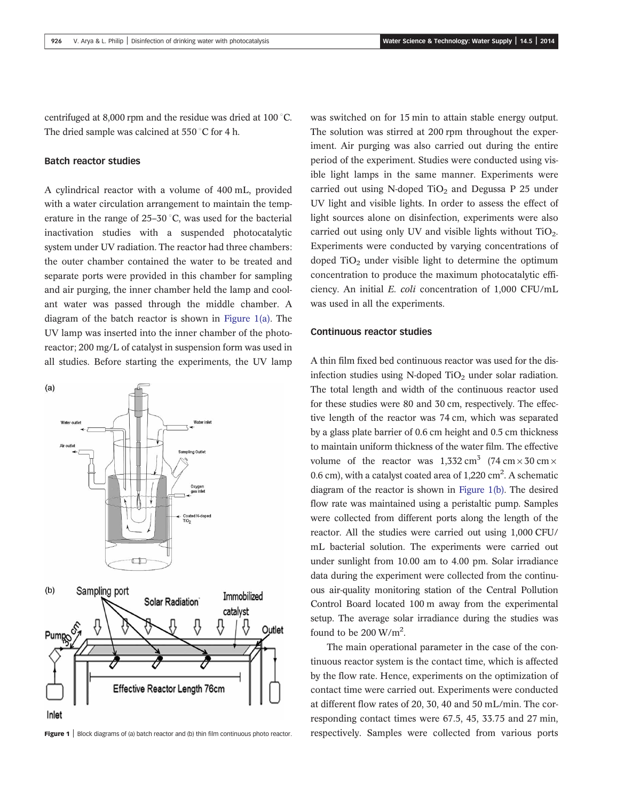centrifuged at 8,000 rpm and the residue was dried at 100 $^{\circ}$ C. The dried sample was calcined at  $550^{\circ}$ C for 4 h.

### Batch reactor studies

A cylindrical reactor with a volume of 400 mL, provided with a water circulation arrangement to maintain the temperature in the range of  $25-30$  °C, was used for the bacterial inactivation studies with a suspended photocatalytic system under UV radiation. The reactor had three chambers: the outer chamber contained the water to be treated and separate ports were provided in this chamber for sampling and air purging, the inner chamber held the lamp and coolant water was passed through the middle chamber. A diagram of the batch reactor is shown in Figure 1(a). The UV lamp was inserted into the inner chamber of the photoreactor; 200 mg/L of catalyst in suspension form was used in all studies. Before starting the experiments, the UV lamp



was switched on for 15 min to attain stable energy output. The solution was stirred at 200 rpm throughout the experiment. Air purging was also carried out during the entire period of the experiment. Studies were conducted using visible light lamps in the same manner. Experiments were carried out using N-doped  $TiO<sub>2</sub>$  and Degussa P 25 under UV light and visible lights. In order to assess the effect of light sources alone on disinfection, experiments were also carried out using only UV and visible lights without  $TiO<sub>2</sub>$ . Experiments were conducted by varying concentrations of doped  $TiO<sub>2</sub>$  under visible light to determine the optimum concentration to produce the maximum photocatalytic efficiency. An initial E. coli concentration of 1,000 CFU/mL was used in all the experiments.

### Continuous reactor studies

A thin film fixed bed continuous reactor was used for the disinfection studies using N-doped  $TiO<sub>2</sub>$  under solar radiation. The total length and width of the continuous reactor used for these studies were 80 and 30 cm, respectively. The effective length of the reactor was 74 cm, which was separated by a glass plate barrier of 0.6 cm height and 0.5 cm thickness to maintain uniform thickness of the water film. The effective volume of the reactor was  $1,332 \text{ cm}^3$  (74 cm  $\times$  30 cm  $\times$ 0.6 cm), with a catalyst coated area of 1,220 cm<sup>2</sup>. A schematic diagram of the reactor is shown in Figure 1(b). The desired flow rate was maintained using a peristaltic pump. Samples were collected from different ports along the length of the reactor. All the studies were carried out using 1,000 CFU/ mL bacterial solution. The experiments were carried out under sunlight from 10.00 am to 4.00 pm. Solar irradiance data during the experiment were collected from the continuous air-quality monitoring station of the Central Pollution Control Board located 100 m away from the experimental setup. The average solar irradiance during the studies was found to be 200 W/m<sup>2</sup>.

The main operational parameter in the case of the continuous reactor system is the contact time, which is affected by the flow rate. Hence, experiments on the optimization of contact time were carried out. Experiments were conducted at different flow rates of 20, 30, 40 and 50 mL/min. The corresponding contact times were 67.5, 45, 33.75 and 27 min, Figure 1 | Block diagrams of (a) batch reactor and (b) thin film continuous photo reactor. respectively. Samples were collected from various ports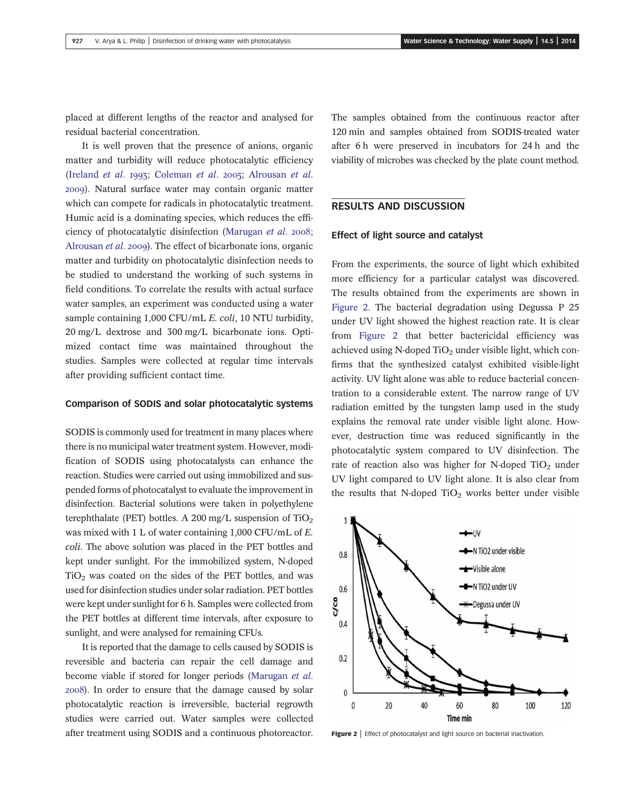placed at different lengths of the reactor and analysed for residual bacterial concentration.

It is well proven that the presence of anions, organic matter and turbidity will reduce photocatalytic efficiency (Ireland et al. 1993; Coleman et al. 2005; Alrousan et al. ). Natural surface water may contain organic matter which can compete for radicals in photocatalytic treatment. Humic acid is a dominating species, which reduces the efficiency of photocatalytic disinfection (Marugan et al. 2008; Alrousan *et al.* 2009). The effect of bicarbonate ions, organic matter and turbidity on photocatalytic disinfection needs to be studied to understand the working of such systems in field conditions. To correlate the results with actual surface water samples, an experiment was conducted using a water sample containing 1,000 CFU/mL E. coli, 10 NTU turbidity, 20 mg/L dextrose and 300 mg/L bicarbonate ions. Optimized contact time was maintained throughout the studies. Samples were collected at regular time intervals after providing sufficient contact time.

#### Comparison of SODIS and solar photocatalytic systems

SODIS is commonly used for treatment in many places where there is no municipal water treatment system. However, modification of SODIS using photocatalysts can enhance the reaction. Studies were carried out using immobilized and suspended forms of photocatalyst to evaluate the improvement in disinfection. Bacterial solutions were taken in polyethylene terephthalate (PET) bottles. A 200 mg/L suspension of  $TiO<sub>2</sub>$ was mixed with 1 L of water containing 1,000 CFU/mL of E. coli. The above solution was placed in the PET bottles and kept under sunlight. For the immobilized system, N-doped  $TiO<sub>2</sub>$  was coated on the sides of the PET bottles, and was used for disinfection studies under solar radiation. PET bottles were kept under sunlight for 6 h. Samples were collected from the PET bottles at different time intervals, after exposure to sunlight, and were analysed for remaining CFUs.

It is reported that the damage to cells caused by SODIS is reversible and bacteria can repair the cell damage and become viable if stored for longer periods (Marugan et al. ). In order to ensure that the damage caused by solar photocatalytic reaction is irreversible, bacterial regrowth studies were carried out. Water samples were collected after treatment using SODIS and a continuous photoreactor.

The samples obtained from the continuous reactor after 120 min and samples obtained from SODIS-treated water after 6 h were preserved in incubators for 24 h and the viability of microbes was checked by the plate count method.

# RESULTS AND DISCUSSION

## Effect of light source and catalyst

From the experiments, the source of light which exhibited more efficiency for a particular catalyst was discovered. The results obtained from the experiments are shown in Figure 2. The bacterial degradation using Degussa P 25 under UV light showed the highest reaction rate. It is clear from Figure 2 that better bactericidal efficiency was achieved using N-doped  $TiO<sub>2</sub>$  under visible light, which confirms that the synthesized catalyst exhibited visible-light activity. UV light alone was able to reduce bacterial concentration to a considerable extent. The narrow range of UV radiation emitted by the tungsten lamp used in the study explains the removal rate under visible light alone. However, destruction time was reduced significantly in the photocatalytic system compared to UV disinfection. The rate of reaction also was higher for N-doped  $TiO<sub>2</sub>$  under UV light compared to UV light alone. It is also clear from the results that N-doped  $TiO<sub>2</sub>$  works better under visible



Figure 2 | Effect of photocatalyst and light source on bacterial inactivation.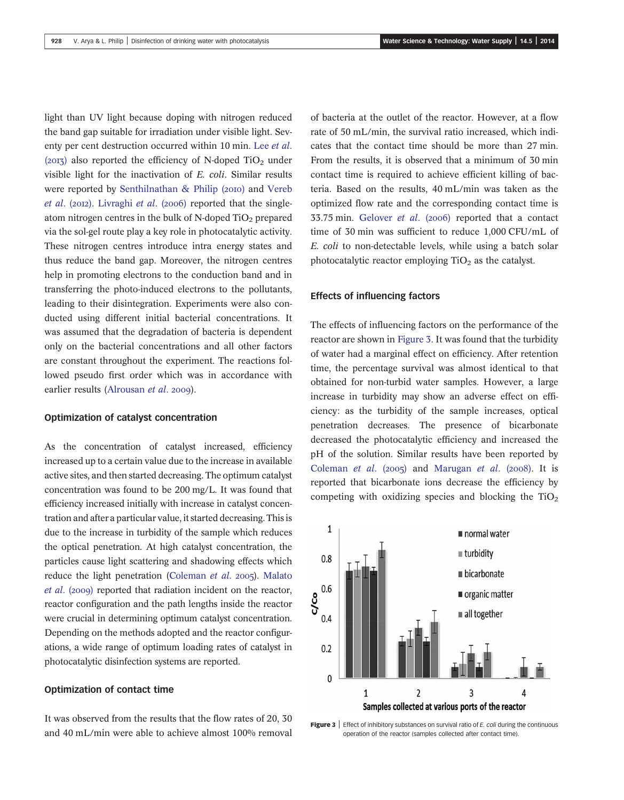light than UV light because doping with nitrogen reduced the band gap suitable for irradiation under visible light. Seventy per cent destruction occurred within 10 min. Lee *et al.* (2013) also reported the efficiency of N-doped TiO<sub>2</sub> under visible light for the inactivation of E. coli. Similar results were reported by Senthilnathan & Philip (2010) and Vereb et al. (2012). Livraghi et al. (2006) reported that the singleatom nitrogen centres in the bulk of N-doped  $TiO<sub>2</sub>$  prepared via the sol-gel route play a key role in photocatalytic activity. These nitrogen centres introduce intra energy states and thus reduce the band gap. Moreover, the nitrogen centres help in promoting electrons to the conduction band and in transferring the photo-induced electrons to the pollutants, leading to their disintegration. Experiments were also conducted using different initial bacterial concentrations. It was assumed that the degradation of bacteria is dependent only on the bacterial concentrations and all other factors are constant throughout the experiment. The reactions followed pseudo first order which was in accordance with earlier results (Alrousan et al. 2009).

#### Optimization of catalyst concentration

As the concentration of catalyst increased, efficiency increased up to a certain value due to the increase in available active sites, and then started decreasing. The optimum catalyst concentration was found to be 200 mg/L. It was found that efficiency increased initially with increase in catalyst concentration and after a particular value, it started decreasing. This is due to the increase in turbidity of the sample which reduces the optical penetration. At high catalyst concentration, the particles cause light scattering and shadowing effects which reduce the light penetration (Coleman et al.  $2005$ ). Malato  $et$  al. (2009) reported that radiation incident on the reactor, reactor configuration and the path lengths inside the reactor were crucial in determining optimum catalyst concentration. Depending on the methods adopted and the reactor configurations, a wide range of optimum loading rates of catalyst in photocatalytic disinfection systems are reported.

### Optimization of contact time

It was observed from the results that the flow rates of 20, 30 and 40 mL/min were able to achieve almost 100% removal of bacteria at the outlet of the reactor. However, at a flow rate of 50 mL/min, the survival ratio increased, which indicates that the contact time should be more than 27 min. From the results, it is observed that a minimum of 30 min contact time is required to achieve efficient killing of bacteria. Based on the results, 40 mL/min was taken as the optimized flow rate and the corresponding contact time is 33.75 min. Gelover et al. (2006) reported that a contact time of 30 min was sufficient to reduce 1,000 CFU/mL of E. coli to non-detectable levels, while using a batch solar photocatalytic reactor employing  $TiO<sub>2</sub>$  as the catalyst.

### Effects of influencing factors

The effects of influencing factors on the performance of the reactor are shown in Figure 3. It was found that the turbidity of water had a marginal effect on efficiency. After retention time, the percentage survival was almost identical to that obtained for non-turbid water samples. However, a large increase in turbidity may show an adverse effect on efficiency: as the turbidity of the sample increases, optical penetration decreases. The presence of bicarbonate decreased the photocatalytic efficiency and increased the pH of the solution. Similar results have been reported by Coleman et al. (2005) and Marugan et al. (2008). It is reported that bicarbonate ions decrease the efficiency by competing with oxidizing species and blocking the  $TiO<sub>2</sub>$ 



**Figure 3** Effect of inhibitory substances on survival ratio of E. coli during the continuous operation of the reactor (samples collected after contact time).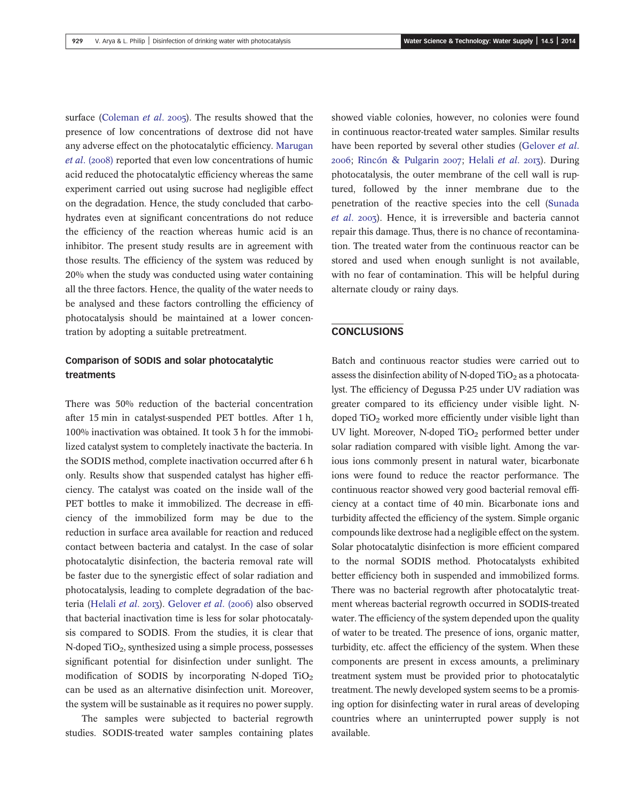surface (Coleman et al. 2005). The results showed that the presence of low concentrations of dextrose did not have any adverse effect on the photocatalytic efficiency. Marugan et al. (2008) reported that even low concentrations of humic acid reduced the photocatalytic efficiency whereas the same experiment carried out using sucrose had negligible effect on the degradation. Hence, the study concluded that carbohydrates even at significant concentrations do not reduce the efficiency of the reaction whereas humic acid is an inhibitor. The present study results are in agreement with those results. The efficiency of the system was reduced by 20% when the study was conducted using water containing all the three factors. Hence, the quality of the water needs to be analysed and these factors controlling the efficiency of photocatalysis should be maintained at a lower concentration by adopting a suitable pretreatment.

# Comparison of SODIS and solar photocatalytic treatments

There was 50% reduction of the bacterial concentration after 15 min in catalyst-suspended PET bottles. After 1 h, 100% inactivation was obtained. It took 3 h for the immobilized catalyst system to completely inactivate the bacteria. In the SODIS method, complete inactivation occurred after 6 h only. Results show that suspended catalyst has higher efficiency. The catalyst was coated on the inside wall of the PET bottles to make it immobilized. The decrease in efficiency of the immobilized form may be due to the reduction in surface area available for reaction and reduced contact between bacteria and catalyst. In the case of solar photocatalytic disinfection, the bacteria removal rate will be faster due to the synergistic effect of solar radiation and photocatalysis, leading to complete degradation of the bacteria (Helali et al. 2013). Gelover et al. (2006) also observed that bacterial inactivation time is less for solar photocatalysis compared to SODIS. From the studies, it is clear that  $N$ -doped TiO<sub>2</sub>, synthesized using a simple process, possesses significant potential for disinfection under sunlight. The modification of SODIS by incorporating N-doped  $TiO<sub>2</sub>$ can be used as an alternative disinfection unit. Moreover, the system will be sustainable as it requires no power supply.

The samples were subjected to bacterial regrowth studies. SODIS-treated water samples containing plates showed viable colonies, however, no colonies were found in continuous reactor-treated water samples. Similar results have been reported by several other studies (Gelover et al.  $2006$ : Rincón & Pulgarin  $2007$ : Helali et al.  $2017$ ). During photocatalysis, the outer membrane of the cell wall is ruptured, followed by the inner membrane due to the penetration of the reactive species into the cell (Sunada et al. 2003). Hence, it is irreversible and bacteria cannot repair this damage. Thus, there is no chance of recontamination. The treated water from the continuous reactor can be stored and used when enough sunlight is not available, with no fear of contamination. This will be helpful during alternate cloudy or rainy days.

# **CONCLUSIONS**

Batch and continuous reactor studies were carried out to assess the disinfection ability of N-doped  $TiO<sub>2</sub>$  as a photocatalyst. The efficiency of Degussa P-25 under UV radiation was greater compared to its efficiency under visible light. Ndoped  $TiO<sub>2</sub>$  worked more efficiently under visible light than UV light. Moreover, N-doped TiO<sub>2</sub> performed better under solar radiation compared with visible light. Among the various ions commonly present in natural water, bicarbonate ions were found to reduce the reactor performance. The continuous reactor showed very good bacterial removal efficiency at a contact time of 40 min. Bicarbonate ions and turbidity affected the efficiency of the system. Simple organic compounds like dextrose had a negligible effect on the system. Solar photocatalytic disinfection is more efficient compared to the normal SODIS method. Photocatalysts exhibited better efficiency both in suspended and immobilized forms. There was no bacterial regrowth after photocatalytic treatment whereas bacterial regrowth occurred in SODIS-treated water. The efficiency of the system depended upon the quality of water to be treated. The presence of ions, organic matter, turbidity, etc. affect the efficiency of the system. When these components are present in excess amounts, a preliminary treatment system must be provided prior to photocatalytic treatment. The newly developed system seems to be a promising option for disinfecting water in rural areas of developing countries where an uninterrupted power supply is not available.